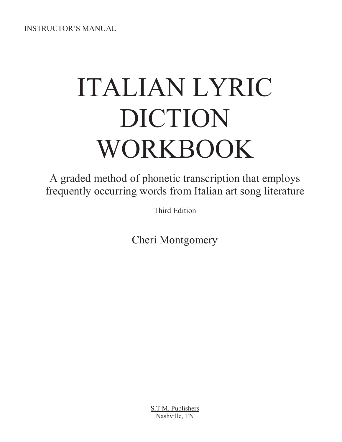INSTRUCTOR'S MANUAL

# ITALIAN LYRIC DICTION WORKBOOK

A graded method of phonetic transcription that employs frequently occurring words from Italian art song literature

Third Edition

Cheri Montgomery

S.T.M. Publishers Nashville, TN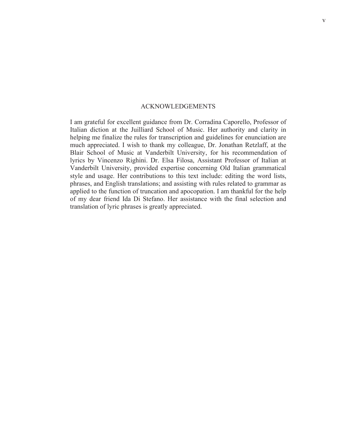#### ACKNOWLEDGEMENTS

I am grateful for excellent guidance from Dr. Corradina Caporello, Professor of Italian diction at the Juilliard School of Music. Her authority and clarity in helping me finalize the rules for transcription and guidelines for enunciation are much appreciated. I wish to thank my colleague, Dr. Jonathan Retzlaff, at the Blair School of Music at Vanderbilt University, for his recommendation of lyrics by Vincenzo Righini. Dr. Elsa Filosa, Assistant Professor of Italian at Vanderbilt University, provided expertise concerning Old Italian grammatical style and usage. Her contributions to this text include: editing the word lists, phrases, and English translations; and assisting with rules related to grammar as applied to the function of truncation and apocopation. I am thankful for the help of my dear friend Ida Di Stefano. Her assistance with the final selection and translation of lyric phrases is greatly appreciated.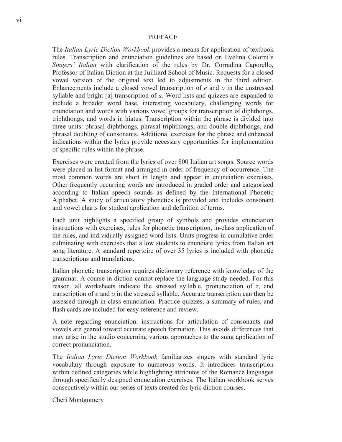#### PREFACE

The *Italian Lyric Diction Workbook* provides a means for application of textbook rules. Transcription and enunciation guidelines are based on Evelina Colorni's *Singers' Italian* with clarification of the rules by Dr. Corradina Caporello, Professor of Italian Diction at the Juilliard School of Music. Requests for a closed vowel version of the original text led to adjustments in the third edition. Enhancements include a closed vowel transcription of *e* and *o* in the unstressed syllable and bright [a] transcription of *a*. Word lists and quizzes are expanded to include a broader word base, interesting vocabulary, challenging words for enunciation and words with various vowel groups for transcription of diphthongs, triphthongs, and words in hiatus. Transcription within the phrase is divided into three units: phrasal diphthongs, phrasal triphthongs, and double diphthongs, and phrasal doubling of consonants. Additional exercises for the phrase and enhanced indications within the lyrics provide necessary opportunities for implementation of specific rules within the phrase.

Exercises were created from the lyrics of over 800 Italian art songs. Source words were placed in list format and arranged in order of frequency of occurrence. The most common words are short in length and appear in enunciation exercises. Other frequently occurring words are introduced in graded order and categorized according to Italian speech sounds as defined by the International Phonetic Alphabet. A study of articulatory phonetics is provided and includes consonant and vowel charts for student application and definition of terms.

Each unit highlights a specified group of symbols and provides enunciation instructions with exercises, rules for phonetic transcription, in-class application of the rules, and individually assigned word lists. Units progress in cumulative order culminating with exercises that allow students to enunciate lyrics from Italian art song literature. A standard repertoire of over 35 lyrics is included with phonetic transcriptions and translations.

Italian phonetic transcription requires dictionary reference with knowledge of the grammar. A course in diction cannot replace the language study needed. For this reason, all worksheets indicate the stressed syllable, pronunciation of *z*, and transcription of *e* and *o* in the stressed syllable. Accurate transcription can then be assessed through in-class enunciation. Practice quizzes, a summary of rules, and flash cards are included for easy reference and review.

A note regarding enunciation: instructions for articulation of consonants and vowels are geared toward accurate speech formation. This avoids differences that may arise in the studio concerning various approaches to the sung application of correct pronunciation.

The *Italian Lyric Diction Workbook* familiarizes singers with standard lyric vocabulary through exposure to numerous words. It introduces transcription within defined categories while highlighting attributes of the Romance languages through specifically designed enunciation exercises. The Italian workbook serves consecutively within our series of texts created for lyric diction courses.

Cheri Montgomery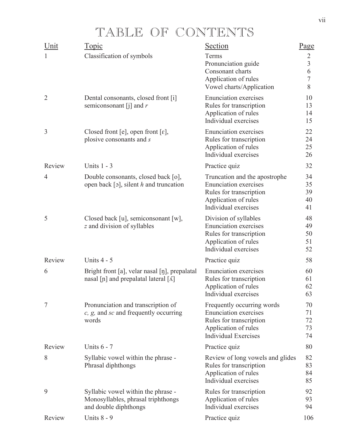### TABLE OF CONTENTS

| Topic                                                                                                     | Section                                                                                                                                  | Page                                                             |
|-----------------------------------------------------------------------------------------------------------|------------------------------------------------------------------------------------------------------------------------------------------|------------------------------------------------------------------|
| Classification of symbols                                                                                 | Terms<br>Pronunciation guide<br>Consonant charts<br>Application of rules<br>Vowel charts/Application                                     | $\overline{2}$<br>$\overline{3}$<br>6<br>$\overline{7}$<br>$8\,$ |
| Dental consonants, closed front [i]<br>semiconsonant [j] and $r$                                          | <b>Enunciation</b> exercises<br>Rules for transcription<br>Application of rules<br>Individual exercises                                  | 10<br>13<br>14<br>15                                             |
| Closed front [e], open front [ $\varepsilon$ ],<br>plosive consonants and s                               | <b>Enunciation</b> exercises<br>Rules for transcription<br>Application of rules<br>Individual exercises                                  | 22<br>24<br>25<br>26                                             |
| Units $1 - 3$                                                                                             | Practice quiz                                                                                                                            | 32                                                               |
| Double consonants, closed back [o],<br>open back [5], silent $h$ and truncation                           | Truncation and the apostrophe<br><b>Enunciation</b> exercises<br>Rules for transcription<br>Application of rules<br>Individual exercises | 34<br>35<br>39<br>40<br>41                                       |
| Closed back [u], semiconsonant [w],<br>z and division of syllables                                        | Division of syllables<br><b>Enunciation</b> exercises<br>Rules for transcription<br>Application of rules<br>Individual exercises         | 48<br>49<br>50<br>51<br>52                                       |
| Units $4 - 5$                                                                                             | Practice quiz                                                                                                                            | 58                                                               |
| Bright front [a], velar nasal [ŋ], prepalatal<br>nasal [n] and prepalatal lateral $\lceil \Lambda \rceil$ | <b>Enunciation</b> exercises<br>Rules for transcription<br>Application of rules<br>Individual exercises                                  | 60<br>61<br>62<br>63                                             |
| Pronunciation and transcription of<br>$c, g$ , and sc and frequently occurring<br>words                   | Frequently occurring words<br><b>Enunciation</b> exercises<br>Rules for transcription<br>Application of rules                            | 70<br>71<br>72<br>73                                             |
|                                                                                                           | <b>Individual Exercises</b>                                                                                                              | 74                                                               |
| Units $6 - 7$                                                                                             | Practice quiz                                                                                                                            | 80                                                               |
| Syllabic vowel within the phrase -<br>Phrasal diphthongs                                                  | Review of long vowels and glides<br>Rules for transcription<br>Application of rules<br>Individual exercises                              | 82<br>83<br>84<br>85                                             |
| Syllabic vowel within the phrase -<br>Monosyllables, phrasal triphthongs<br>and double diphthongs         | Rules for transcription<br>Application of rules<br>Individual exercises                                                                  | 92<br>93<br>94                                                   |
|                                                                                                           |                                                                                                                                          |                                                                  |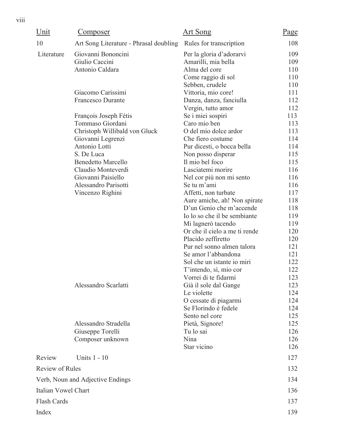| Unit                   | <u>Composer</u>                        | <u>Art Song</u>                        | Page       |
|------------------------|----------------------------------------|----------------------------------------|------------|
| 10                     | Art Song Literature - Phrasal doubling | Rules for transcription                | 108        |
| Literature             | Giovanni Bononcini                     | Per la gloria d'adorarvi               | 109        |
|                        | Giulio Caccini                         | Amarilli, mia bella                    | 109        |
|                        | Antonio Caldara                        | Alma del core                          | 110        |
|                        |                                        | Come raggio di sol                     | 110        |
|                        |                                        | Sebben, crudele                        | 110        |
|                        | Giacomo Carissimi                      | Vittoria, mio core!                    | 111        |
|                        | <b>Francesco Durante</b>               | Danza, danza, fanciulla                | 112        |
|                        |                                        | Vergin, tutto amor                     | 112        |
|                        | François Joseph Fétis                  | Se i miei sospiri                      | 113        |
|                        | Tommaso Giordani                       | Caro mio ben                           | 113        |
|                        | Christoph Willibald von Gluck          | O del mio dolce ardor                  | 113        |
|                        | Giovanni Legrenzi                      | Che fiero costume                      | 114        |
|                        | Antonio Lotti                          | Pur dicesti, o bocca bella             | 114        |
|                        | S. De Luca                             | Non posso disperar                     | 115        |
|                        | <b>Benedetto Marcello</b>              | Il mio bel foco                        | 115        |
|                        | Claudio Monteverdi                     | Lasciatemi morire                      | 116        |
|                        | Giovanni Paisiello                     | Nel cor più non mi sento               | 116        |
|                        | Alessandro Parisotti                   | Se tu m'ami                            | 116        |
|                        | Vincenzo Righini                       | Affetti, non turbate                   | 117        |
|                        |                                        | Aure amiche, ah! Non spirate           | 118        |
|                        |                                        | D'un Genio che m'accende               | 118        |
|                        |                                        | Io lo so che il be sembiante           | 119        |
|                        |                                        | Mi lagnerò tacendo                     | 119        |
|                        |                                        | Or che il cielo a me ti rende          | 120        |
|                        |                                        | Placido zeffiretto                     | 120        |
|                        |                                        | Pur nel sonno almen talora             | 121        |
|                        |                                        | Se amor l'abbandona                    | 121        |
|                        |                                        | Sol che un istante io miri             | 122        |
|                        |                                        | T'intendo, sì, mio cor                 | 122        |
|                        |                                        | Vorrei di te fidarmi                   | 123        |
|                        | Alessandro Scarlatti                   | Già il sole dal Gange                  | 123        |
|                        |                                        | Le violette                            | 124        |
|                        |                                        | O cessate di piagarmi                  | 124        |
|                        |                                        | Se Florindo è fedele<br>Sento nel core | 124<br>125 |
|                        | Alessandro Stradella                   | Pietà, Signore!                        | 125        |
|                        | Giuseppe Torelli                       | Tu lo sai                              | 126        |
|                        | Composer unknown                       | Nina                                   | 126        |
|                        |                                        | Star vicino                            | 126        |
| Review                 | Units 1 - 10                           |                                        | 127        |
| <b>Review of Rules</b> |                                        |                                        | 132        |
|                        |                                        |                                        |            |
|                        | Verb, Noun and Adjective Endings       |                                        | 134        |
| Italian Vowel Chart    |                                        |                                        | 136        |
| Flash Cards            |                                        |                                        | 137        |
| Index                  |                                        |                                        | 139        |
|                        |                                        |                                        |            |

viii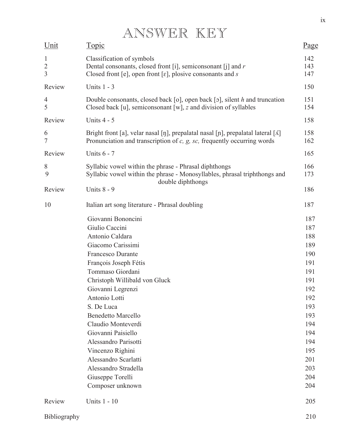## ANSWER KEY

| Unit                                             | <u>Topic</u>                                                                                                                                                                                                                                                                                                                                                                                                                 | Page                                                                                                                                     |
|--------------------------------------------------|------------------------------------------------------------------------------------------------------------------------------------------------------------------------------------------------------------------------------------------------------------------------------------------------------------------------------------------------------------------------------------------------------------------------------|------------------------------------------------------------------------------------------------------------------------------------------|
| $\mathbf{1}$<br>$\overline{2}$<br>$\overline{3}$ | Classification of symbols<br>Dental consonants, closed front [i], semiconsonant [j] and $r$<br>Closed front [e], open front [ $\varepsilon$ ], plosive consonants and s                                                                                                                                                                                                                                                      | 142<br>143<br>147                                                                                                                        |
| Review                                           | Units $1 - 3$                                                                                                                                                                                                                                                                                                                                                                                                                | 150                                                                                                                                      |
| $\overline{4}$<br>5                              | Double consonants, closed back [o], open back [o], silent $h$ and truncation<br>Closed back [u], semiconsonant [w], z and division of syllables                                                                                                                                                                                                                                                                              | 151<br>154                                                                                                                               |
| Review                                           | Units 4 - 5                                                                                                                                                                                                                                                                                                                                                                                                                  | 158                                                                                                                                      |
| 6<br>$\tau$                                      | Bright front [a], velar nasal [ŋ], prepalatal nasal [ɲ], prepalatal lateral [ $\Lambda$ ]<br>Pronunciation and transcription of $c$ , $g$ , $sc$ , frequently occurring words                                                                                                                                                                                                                                                | 158<br>162                                                                                                                               |
| Review                                           | <b>Units 6 - 7</b>                                                                                                                                                                                                                                                                                                                                                                                                           | 165                                                                                                                                      |
| 8<br>9                                           | Syllabic vowel within the phrase - Phrasal diphthongs<br>Syllabic vowel within the phrase - Monosyllables, phrasal triphthongs and<br>double diphthongs                                                                                                                                                                                                                                                                      | 166<br>173                                                                                                                               |
| Review                                           | <b>Units 8 - 9</b>                                                                                                                                                                                                                                                                                                                                                                                                           | 186                                                                                                                                      |
| 10                                               | Italian art song literature - Phrasal doubling                                                                                                                                                                                                                                                                                                                                                                               | 187                                                                                                                                      |
|                                                  | Giovanni Bononcini<br>Giulio Caccini<br>Antonio Caldara<br>Giacomo Carissimi<br>Francesco Durante<br>François Joseph Fétis<br>Tommaso Giordani<br>Christoph Willibald von Gluck<br>Giovanni Legrenzi<br>Antonio Lotti<br>S. De Luca<br><b>Benedetto Marcello</b><br>Claudio Monteverdi<br>Giovanni Paisiello<br>Alessandro Parisotti<br>Vincenzo Righini<br>Alessandro Scarlatti<br>Alessandro Stradella<br>Giuseppe Torelli | 187<br>187<br>188<br>189<br>190<br>191<br>191<br>191<br>192<br>192<br>193<br>193<br>194<br>194<br>194<br>195<br>201<br>203<br>204<br>204 |
| Review                                           | Composer unknown<br><b>Units 1 - 10</b>                                                                                                                                                                                                                                                                                                                                                                                      | 205                                                                                                                                      |
| Bibliography                                     |                                                                                                                                                                                                                                                                                                                                                                                                                              | 210                                                                                                                                      |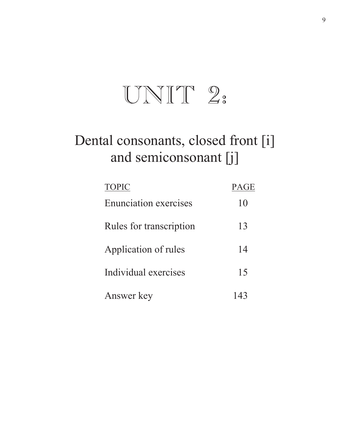# $UNIT 2:$

## Dental consonants, closed front [i] and semiconsonant [j]

| <b>TOPIC</b>                 | <b>PAGE</b> |
|------------------------------|-------------|
| <b>Enunciation exercises</b> | 10          |
| Rules for transcription      | 13          |
| Application of rules         | 14          |
| Individual exercises         | 15          |
| Answer key                   |             |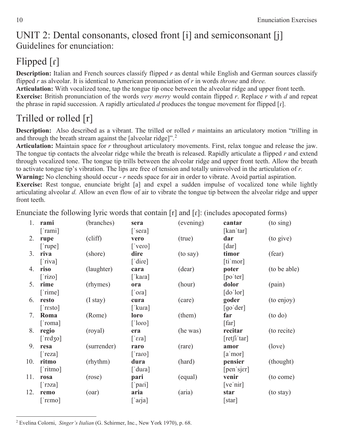### UNIT 2: Dental consonants, closed front [i] and semiconsonant [j] Guidelines for enunciation:

### $Flipped[r]$

**Description:** Italian and French sources classify flipped *r* as dental while English and German sources classify flipped *r* as alveolar. It is identical to American pronunciation of *r* in words *throne* and *three.*

**Articulation:** With vocalized tone, tap the tongue tip once between the alveolar ridge and upper front teeth. **Exercise:** British pronunciation of the words *very merry* would contain flipped *r*. Replace *r* with *d* and repeat the phrase in rapid succession. A rapidly articulated  $d$  produces the tongue movement for flipped  $\lceil \cdot \rceil$ .

### Trilled or rolled [r]

**Description:** Also described as a vibrant. The trilled or rolled *r* maintains an articulatory motion "trilling in and through the breath stream against the [alveolar ridge]".<sup>2</sup>

**Articulation:** Maintain space for *r* throughout articulatory movements. First, relax tongue and release the jaw. The tongue tip contacts the alveolar ridge while the breath is released. Rapidly articulate a flipped *r* and extend through vocalized tone. The tongue tip trills between the alveolar ridge and upper front teeth. Allow the breath to activate tongue tip's vibration. The lips are free of tension and totally uninvolved in the articulation of *r.* 

**Warning:** No clenching should occur - *r* needs space for air in order to vibrate. Avoid partial aspiration. **Exercise:** Rest tongue, enunciate bright [a] and expel a sudden impulse of vocalized tone while lightly articulating alveolar *d.* Allow an even flow of air to vibrate the tongue tip between the alveolar ridge and upper front teeth.

1. **rami** (branches) **sera** (evening) **cantar** (to sing) [ˈrami] [ˈsera] [ˈsera] [kanˈtar] 2. **rupe** (cliff) **vero** (true) **dar** (to give)  $[\text{`rupe}]$  [ $\text{`vero}$ ] [dar] 3. **riva** (shore) **dire** (to say) **timor** (fear)  $\lceil$ 'riva]  $\lceil$ 'dire]  $\lceil$ 'dire]  $\lceil$ 4. **riso** (laughter) **cara** (dear) **poter** (to be able) ['rizo] ['kara] [po'ter] 5. **rime** (rhymes) **ora** (hour) **dolor** (pain)  $[\text{time}]$  [ $\text{for}$ ]  $[\text{do} \text{lor}]$ 6. **resto** (I stay) **cura** (care) **goder** (to enjoy) [ˈrɛsto] [ˈkuɾa] [ˈkura] [ɡoˈder] 7. **Roma** (Rome) **loro** (them) **far** (to do)  $[\text{'roma}]$  [ $[\text{for } ]$ ] [far] 8. **regio** (royal) **era** (he was) **recitar** (to recite)  $\lceil \text{red} \times \text{ol} \rceil$   $\lceil \text{real} \rceil$   $\lceil \text{red} \times \text{ol} \rceil$   $\lceil \text{red} \rceil$   $\lceil \text{real} \rceil$ 9. **resa** (surrender) **raro** (rare) **amor** (love)  $[\text{'}\text{reza}]$  [ $\text{'}\text{raro}]$  [a $\text{'}\text{mor}]$ 10. **ritmo** (rhythm) **dura** (hard) **pensier** (thought) ['ritmo] ['dura] [pen siɛr] 11. **rosa** (rose) **pari** (equal) **venir** (to come) ['roza] ['pari] [ve'nir] 12. **remo** (oar) **aria** (aria) **star** (to stay)  $[$ 'r $\epsilon$ mo]  $[$ arja]  $[$ star]

Enunciate the following lyric words that contain  $[r]$  and  $[r]$ : (includes apocopated forms)

2 Evelina Colorni, *Singer's Italian* (G. Schirmer, Inc., New York 1970), p. 68.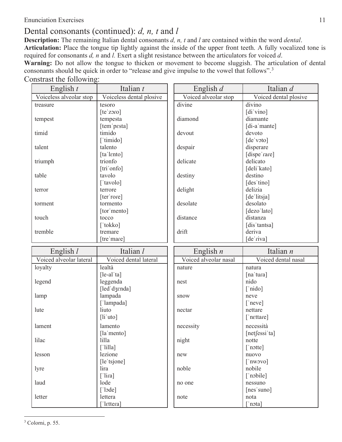#### Enunciation Exercises 11

#### Dental consonants (continued): *d, n, t* and *l*

**Description:** The remaining Italian dental consonants *d, n, t* and *l* are contained within the word *dental*. **Articulation:** Place the tongue tip lightly against the inside of the upper front teeth. A fully vocalized tone is required for consonants *d, n* and *l.* Exert a slight resistance between the articulators for voiced *d*. **Warning:** Do not allow the tongue to thicken or movement to become sluggish. The articulation of dental consonants should be quick in order to "release and give impulse to the vowel that follows".<sup>3</sup>

#### Constrast the following:

| English $t$             | Italian t                         | English $d$           | Italian d             |
|-------------------------|-----------------------------------|-----------------------|-----------------------|
| Voiceless alveolar stop | Voiceless dental plosive          | Voiced alveolar stop  | Voiced dental plosive |
| treasure                | tesoro                            | divine                | divino                |
|                         | [te'zoro]                         |                       | [di vino]             |
| tempest                 | tempesta                          | diamond               | diamante              |
|                         | [tem pesta]                       |                       | [di-a mante]          |
| timid                   | timido                            | devout                | devoto                |
|                         | ['timido]                         |                       | [de voto]             |
| talent                  | talento                           | despair               | disperare             |
|                         | [ta lento]                        |                       | [dispe'rare]          |
| triumph                 | trionfo                           | delicate              | delicato              |
|                         | [tri onfo]                        |                       | [deli kato]           |
| table                   | tavolo                            | destiny               | destino               |
|                         | ['tavolo]                         |                       | [des'tino]            |
| terror                  | terrore                           | delight               | delizia               |
|                         | [ter rore]                        |                       | [de litsja]           |
| torment                 | tormento                          | desolate              | desolato              |
|                         | [tor mento]                       |                       | [dezo'lato]           |
| touch                   | tocco                             | distance              | distanza              |
|                         | ['tokko]                          |                       | [dis tantsa]          |
| tremble                 | tremare                           | drift                 | deriva                |
|                         | [tre 'mare]                       |                       | [de riva]             |
|                         |                                   |                       |                       |
|                         |                                   |                       |                       |
| English $l$             | Italian l                         | English $n$           | Italian n             |
| Voiced alveolar lateral | Voiced dental lateral             | Voiced alveolar nasal | Voiced dental nasal   |
| loyalty                 | lealtà                            | nature                | natura                |
|                         | $[$ le-al 'ta]                    |                       | [na'tura]             |
| legend                  | leggenda                          | nest                  | nido                  |
|                         | [led dʒɛnda]                      |                       | $\lceil$ 'nido]       |
| lamp                    | lampada                           | snow                  | neve                  |
|                         | ['lampada]                        |                       | ['neve]               |
| lute                    | liuto                             | nectar                | nettare               |
|                         | $[$ li'uto $]$                    |                       | ['nettare]            |
| lament                  | lamento                           | necessity             | necessità             |
|                         | [la mento]                        |                       | [netfessi ta]         |
| lilac                   | lilla                             | night                 | notte                 |
|                         | $[$ 'lilla]                       |                       | ['notte]              |
| lesson                  | lezione                           | new                   | nuovo                 |
|                         | [le'tsjone]                       |                       | $\lceil$ 'nwovo]      |
| lyre                    | lira                              | noble                 | nobile                |
|                         | $[$ 'lira]                        |                       | ['nobile]             |
| laud                    | lode                              | no one                | nessuno               |
|                         | $\lceil \cdot \text{lode} \rceil$ |                       | [nes'suno]            |
| letter                  | lettera<br>['lettera]             | note                  | nota<br>['nota]       |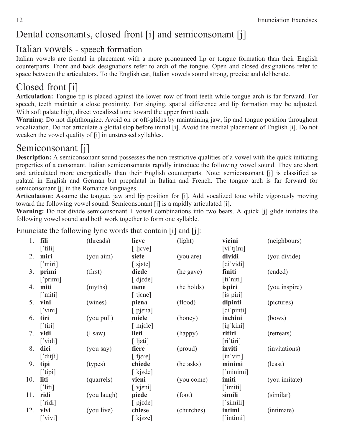### Dental consonants, closed front [i] and semiconsonant [j]

#### Italian vowels - speech formation

Italian vowels are frontal in placement with a more pronounced lip or tongue formation than their English counterparts. Front and back designations refer to arch of the tongue. Open and closed designations refer to space between the articulators. To the English ear, Italian vowels sound strong, precise and deliberate.

### Closed front [i]

**Articulation:** Tongue tip is placed against the lower row of front teeth while tongue arch is far forward. For speech, teeth maintain a close proximity. For singing, spatial difference and lip formation may be adjusted. With soft palate high, direct vocalized tone toward the upper front teeth.

**Warning:** Do not diphthongize. Avoid on or off-glides by maintaining jaw, lip and tongue position throughout vocalization. Do not articulate a glottal stop before initial [i]. Avoid the medial placement of English [i]. Do not weaken the vowel quality of [i] in unstressed syllables.

### Semiconsonant [j]

**Description:** A semiconsonant sound possesses the non-restrictive qualities of a vowel with the quick initiating properties of a consonant. Italian semiconsonants rapidly introduce the following vowel sound. They are short and articulated more energetically than their English counterparts. Note: semiconsonant [j] is classified as palatal in English and German but prepalatal in Italian and French. The tongue arch is far forward for semiconsonant [j] in the Romance languages.

**Articulation:** Assume the tongue, jaw and lip position for [i]. Add vocalized tone while vigorously moving toward the following vowel sound. Semiconsonant [j] is a rapidly articulated [i].

Warning: Do not divide semiconsonant + vowel combinations into two beats. A quick [j] glide initiates the following vowel sound and both work together to form one syllable.

Enunciate the following lyric words that contain [i] and [j]:

| 1.  | fili                               | (threads)   | lieve                       | (light)    | vicini                                                                             | (neighbours)  |
|-----|------------------------------------|-------------|-----------------------------|------------|------------------------------------------------------------------------------------|---------------|
|     | $\lceil$ fili]                     |             | [ 'ljeve ]                  |            | $\left[\n \operatorname{vi}^{\cdot}\nolimits \operatorname{tfini}\nolimits\right]$ |               |
| 2.  | miri                               | (you aim)   | siete                       | (you are)  | dividi                                                                             | (you divide)  |
|     | $\lceil \text{min} \rceil$         |             | ['sjɛte]                    |            | $\left[ \mathrm{di}\right]$ vidi                                                   |               |
| 3.  | primi                              | (first)     | diede                       | (he gave)  | finiti                                                                             | (ended)       |
|     | ['primi]                           |             | $\lceil$ 'dj $\text{ed}$ e] |            | $[$ fi'niti] $]$                                                                   |               |
| 4.  | miti                               | (myths)     | tiene                       | (he holds) | ispiri                                                                             | (you inspire) |
|     | $\lceil$ 'miti]                    |             | $[$ tj $\epsilon$ ne]       |            | [is'piri]                                                                          |               |
| 5.  | vini                               | (wines)     | piena                       | (flood)    | dipinti                                                                            | (pictures)    |
|     | $\lceil \n \vee \text{ini} \rceil$ |             | $\lceil$ 'pj $\epsilon$ na] |            | [di pinti]                                                                         |               |
| 6.  | tiri                               | (you pull)  | miele                       | (honey)    | inchini                                                                            | (bows)        |
|     | $\lceil$ tiri]                     |             | ['mjɛle]                    |            | $\left[\text{in}'\text{kini}\right]$                                               |               |
| 7.  | vidi                               | (I saw)     | lieti                       | (happy)    | ritiri                                                                             | (retreats)    |
|     | $\lceil$ 'vidi]                    |             | $[$ 'lj $\epsilon$ ti]      |            | $[ri'$ tiri $]$                                                                    |               |
| 8.  | dici                               | (you say)   | fiere                       | (proud)    | inviti                                                                             | (invitations) |
|     | $\lceil$ 'dit $\int$ i]            |             | $[$ fj $\epsilon$ re]       |            | $\left[\text{in}\right]$ viti                                                      |               |
| 9.  | tipi                               | (types)     | chiede                      | (he asks)  | minimi                                                                             | (least)       |
|     | $\lceil$ 'tipi]                    |             | [ $kjede$ ]                 |            | $\lceil$ 'minimi]                                                                  |               |
| 10. | liti                               | (quarrels)  | vieni                       | (you come) | imiti                                                                              | (you imitate) |
|     | $\lceil$ 'liti]                    |             | $\lceil$ 'vj $\epsilon$ ni] |            | $\lceil$ 'imiti]                                                                   |               |
| 11. | ridi                               | (you laugh) | piede                       | (foot)     | simili                                                                             | (similar)     |
|     | $\lceil$ 'ridi]                    |             | $[\ ]$ pj $\in$ de]         |            | $\lceil \sin(1) \rceil$                                                            |               |
| 12. | vivi                               | (you live)  | chiese                      | (churches) | intimi                                                                             | (intimate)    |
|     | $\lceil$ 'vivi]                    |             | ['kjɛze]                    |            | ['intimi]                                                                          |               |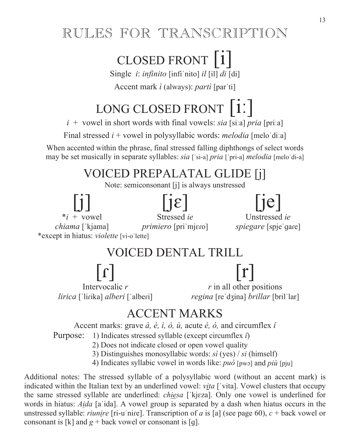### RULES FOR TRANSCRIPTION

## CLOSED FRONT [i]

Single *i*: *infinito* [infi nito] *il* [il] *di* [di]

Accent mark *ì* (always): *partì* [par'ti]

## LONG CLOSED FRONT  $[i]$

 $i +$  vowel in short words with final vowels: *sia* [si:a] *pria* [pri:a]

Final stressed  $i$  + vowel in polysyllabic words: *melodia* [melo di:a]

When accented within the phrase, final stressed falling diphthongs of select words may be set musically in separate syllables: *sia* ['si-a] *pria* ['pri-a] *melodia* [melo'di-a]

### VOICED PREPALATAL GLIDE [j]

Note: semiconsonant [j] is always unstressed



- 2) Does not indicate closed or open vowel quality
- 3) Distinguishes monosyllabic words: *sì* (yes) / *si* (himself)
- 4) Indicates syllabic vowel in words like: *può* [pwo] and *più* [pju]

Additional notes: The stressed syllable of a polysyllabic word (without an accent mark) is indicated within the Italian text by an underlined vowel: *vita* ['vita]. Vowel clusters that occupy the same stressed syllable are underlined: *chiesa* ['kjɛza]. Only one vowel is underlined for words in hiatus: *Aida* [a ida]. A vowel group is separated by a dash when hiatus occurs in the unstressed syllable: *riunire* [ri-u nire]. Transcription of *a* is [a] (see page 60),  $c +$  back vowel or consonant is [k] and  $g +$  back vowel or consonant is [q].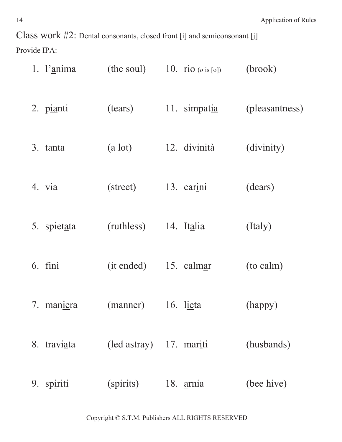Class work #2: Dental consonants, closed front [i] and semiconsonant [j] Provide IPA:

| 1. l'anima    |                         | (the soul) 10. rio $(\circ \text{ is } [0])$ | (brook)        |
|---------------|-------------------------|----------------------------------------------|----------------|
| 2. pianti     | (tears)                 | 11. simpatia                                 | (pleasantness) |
| 3. tanta      | (a lot)                 | 12. divinità                                 | (divinity)     |
| 4. via        | (street)                | 13. carini                                   | (dears)        |
| 5. spietata   | (ruthless)              | 14. Italia                                   | (Italy)        |
| $6.$ fini     |                         | (it ended) 15. calmar                        | (to calm)      |
| 7. maniera    | (manner) 16. lieta      |                                              | (happy)        |
| 8. traviata   | (led astray) 17. mariti |                                              | (husbands)     |
| spiriti<br>9. | (spirits)               | 18. <u>arnia</u>                             | (bee hive)     |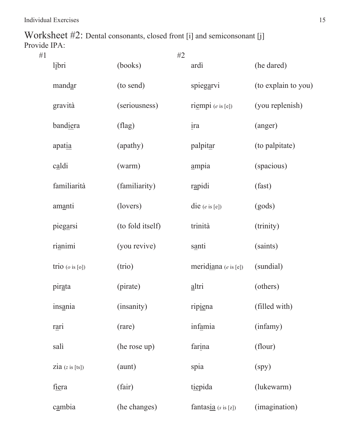Worksheet #2: Dental consonants, closed front [i] and semiconsonant [j] Provide IPA:

| #1 |                            | #2               |                                 |                     |
|----|----------------------------|------------------|---------------------------------|---------------------|
|    | libri                      | (books)          | ardì                            | (he dared)          |
|    | mandar                     | (to send)        | spiegarvi                       | (to explain to you) |
|    | gravità                    | (seriousness)    | $ri$ empi ( $e$ is [e])         | (you replenish)     |
|    | bandiera                   | $(\text{flag})$  | ira                             | (anger)             |
|    | apatia                     | (apathy)         | palpitar                        | (to palpitate)      |
|    | $c_{\underline{a}}$ ldi    | (warm)           | ampia                           | (spacious)          |
|    | familiarità                | (familiarity)    | rapidi                          | (fast)              |
|    | amanti                     | (lovers)         | die $(e \text{ is } [e])$       | (gods)              |
|    | piegarsi                   | (to fold itself) | trinità                         | (trinity)           |
|    | rianimi                    | (you revive)     | santi                           | (saints)            |
|    | trio $(o \text{ is } [o])$ | (trio)           | meridiana $(e \text{ is } [e])$ | (sundial)           |
|    | pirata                     | (pirate)         | altri                           | (others)            |
|    | insania                    | (insanity)       | ripiena                         | (filled with)       |
|    | rari                       | (rare)           | infamia                         | (infamy)            |
|    | salì                       | (he rose up)     | farina                          | (flour)             |
|    | $zia$ (z is [ts])          | (aunt)           | spia                            | (spy)               |
|    | fiera                      | (fair)           | tiepida                         | (lukewarm)          |
|    | cambia                     | (he changes)     | fantasia $(s \text{ is } [z])$  | (imagination)       |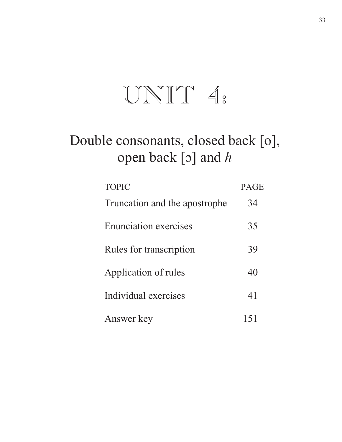# $UNIT 4.$

## Double consonants, closed back [o], open back [o] and *h*

| <b>TOPIC</b>                   | GE |
|--------------------------------|----|
| Truncation and the apostrophe. | 34 |
| <b>Enunciation exercises</b>   | 35 |
| Rules for transcription        | 39 |
| Application of rules           | 40 |
| Individual exercises           | 41 |
| Answer key                     |    |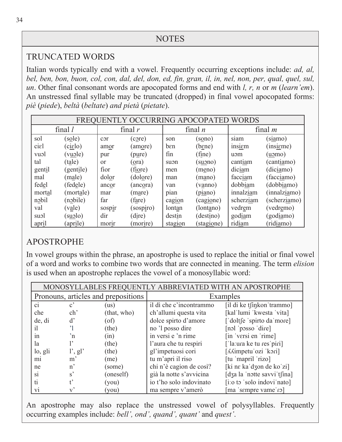#### TRUNCATED WORDS

Italian words typically end with a vowel. Frequently occurring exceptions include: *ad, al, bel, ben, bon, buon, col, con, dal, del, don, ed, fin, gran, il, in, nel, non, per, qual, quel, sul, un*. Other final consonant words are apocopated forms and end with *l, r, n* or *m* (*learn'em*). An unstressed final syllable may be truncated (dropped) in final vowel apocopated forms: *piè* (*piede*), *beltà* (*beltate*) *and pietà* (*pietate*).

| FREOUENTLY OCCURRING APOCOPATED WORDS |                         |           |                  |         |                  |           |                    |
|---------------------------------------|-------------------------|-----------|------------------|---------|------------------|-----------|--------------------|
|                                       | final $l$               |           | final $r$        |         | final $n$        |           | final $m$          |
| sol                                   | (s <sub>0</sub> le)     | cor       | (c <u>or</u> e)  | son     | $\text{(sono)}$  | siam      | (s <u>ia</u> mo)   |
| cial                                  | (cielo)                 | amor      | (amore)          | ben     | (bene)           | insiem    | (ins <u>i</u> eme) |
| vuol                                  | (v <u>u</u> ole)        | pur       | (p <u>u</u> re)  | fin     | (fine)           | uom       | (uɔmo)             |
| tal                                   | (t <u>al</u> e)         | <b>or</b> | (ora)            | suon    | (s <u>uo</u> no) | cantiam   | (cantiamo)         |
| gentil                                | (gent <u>i</u> le)      | fior      | (f <u>io</u> re) | men     | (meno)           | diciam    | (diciamo)          |
| mal                                   | (male)                  | dolor     | (dolore)         | man     | (mano)           | facciam   | (facciamo)         |
| fedel                                 | (fedele)                | ancor     | (ancora)         | van     | (vanno)          | dobbiam   | (dobbiamo)         |
| mortal                                | (mortale)               | mar       | (mare)           | pian    | (piano)          | innalziam | (innalzimo)        |
| nobil                                 | $(n_0$ bile)            | far       | (fare)           | cagion  | (cagione)        | scherziam | (scherziamo)       |
| val                                   | $(v_{\underline{a}} e)$ | sospir    | (sospiro)        | lontan  | (lontano)        | vedrem    | (vedremo)          |
| suol                                  | (suolo)                 | dir       | (dire)           | destin  | (destino)        | godiam    | (god <u>ia</u> mo) |
| april                                 | (aprile)                | morir     | (morire)         | stagion | (stagione)       | ridiam    | (ridiamo)          |

#### APOSTROPHE

In vowel groups within the phrase, an apostrophe is used to replace the initial or final vowel of a word and works to combine two words that are connected in meaning. The term *elision* is used when an apostrophe replaces the vowel of a monosyllabic word:

| MONOSYLLABLES FREQUENTLY ABBREVIATED WITH AN APOSTROPHE |                                                        |             |                         |                             |  |
|---------------------------------------------------------|--------------------------------------------------------|-------------|-------------------------|-----------------------------|--|
| Pronouns, articles and prepositions                     |                                                        |             | Examples                |                             |  |
| $\overline{c}$                                          | $\mathbf{c}^{\prime}$                                  | (us)        | il dì che c'incontrammo | [il di ke tsinkon trammo]   |  |
| che                                                     | ch <sup>2</sup>                                        | (that, who) | ch'allumi questa vita   | [kal'lumi 'kwesta 'vita]    |  |
| de, di                                                  | $\mathbf{d}^{\prime}$                                  | (of)        | dolce spirto d'amore    | ['doltfe 'spirto da'more]   |  |
| i1                                                      |                                                        | (the)       | no 'l posso dire        | [nol 'posso 'dire]          |  |
| 1n                                                      | $n^{\prime}$                                           | (in)        | in versi e 'n rime      | [in 'versi en 'rime]        |  |
| <sup>l</sup> a                                          |                                                        | (the)       | l'aura che tu respiri   | ['la:ura ke tu res'piri]    |  |
| lo, gli                                                 | $\vert$ <sup>'</sup> , g <sup><math>\vert</math></sup> | (the)       | gl'impetuosi cori       | [AAimpetu ozi 'kori]        |  |
| $\overline{m}$                                          | $m^{\prime}$                                           | (me)        | tu m'apri il riso       | [tu 'mapril 'rizo]          |  |
| ne                                                      | $n$ <sup><math>\cdot</math></sup>                      | (some)      | chi n'è cagion de così? | [ki ne ka dzon de ko zi]    |  |
| S <sub>1</sub>                                          | s'                                                     | (oneself)   | già la notte s'avvicina | [dʒa la 'notte savvi'tʃina] |  |
| t1                                                      |                                                        | (you)       | io t'ho solo indovinato | [i:o to 'solo indovi'nato]  |  |
| V1                                                      |                                                        | (you)       | ma sempre v'amerò       | ma 'sempre vame'ro]         |  |

An apostrophe may also replace the unstressed vowel of polysyllables. Frequently occurring examples include: *bell', ond', quand', quant'* and *quest'*.

 $\overline{a}$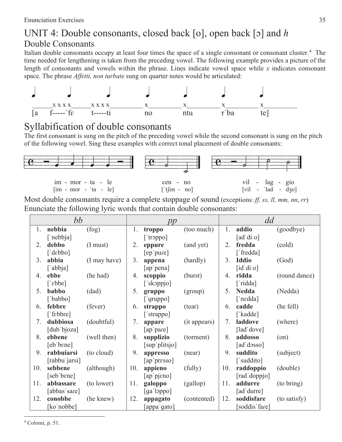### UNIT 4: Double consonants, closed back [o], open back [o] and *h* Double Consonants

Italian double consonants occupy at least four times the space of a single consonant or consonant cluster.<sup>4</sup> The time needed for lengthening is taken from the preceding vowel. The following example provides a picture of the length of consonants and vowels within the phrase. Lines indicate vowel space while *x* indicates consonant space. The phrase *Affetti, non turbate* sung on quarter notes would be articulated:



### Syllabification of double consonants

The first consonant is sung on the pitch of the preceding vowel while the second consonant is sung on the pitch of the following vowel. Sing these examples with correct tonal placement of double consonants:



Most double consonants require a complete stoppage of sound (exceptions: *ff, ss, ll, mm, nn*, *rr*) Enunciate the following lyric words that contain double consonants:

|     | bb                                                    |              |     | pp                                    |              |     | dd                                                 |               |  |
|-----|-------------------------------------------------------|--------------|-----|---------------------------------------|--------------|-----|----------------------------------------------------|---------------|--|
| 1.  | nebbia<br>['nebbja]                                   | (fog)        | 1.  | troppo<br>[ 'troppo ]                 | (too much)   | 1.  | addio<br>[ad'di:o]                                 | (goodbye)     |  |
| 2.  | debbo<br>['dɛbbo]                                     | (I must)     | 2.  | eppure<br>[ep pure]                   | (and yet)    | 2.  | fredda<br>['fredda]                                | (cold)        |  |
| 3.  | abbia<br>['abbja]                                     | (I may have) | 3.  | appena<br>[ap pena]                   | (hardly)     | 3.  | <b>Iddio</b><br>$\left[$ id'di:o $\right]$         | (God)         |  |
| 4.  | ebbe<br>$\lceil$ [ $\epsilon$ bbe]                    | (he had)     | 4.  | scoppio<br>['skoppjo]                 | (burst)      | 4.  | ridda<br>['ridda]                                  | (round dance) |  |
| 5.  | babbo<br>['babbo]                                     | (dad)        | 5.  | gruppo<br>$\lceil$ gruppo]            | (group)      | 5.  | <b>Nedda</b><br>$\lceil \cdot \text{nedda} \rceil$ | (Nedda)       |  |
| 6.  | febbre<br>['febbre]                                   | (fever)      | 6.  | strappo<br>['strappo]                 | (tear)       | 6.  | cadde<br>['kadde]                                  | (he fell)     |  |
| 7.  | dubbiosa<br>[dub bjoza]                               | (doubtful)   | 7.  | appare<br>[ap pare]                   | (it appears) | 7.  | laddove<br>[lad dove]                              | (where)       |  |
| 8.  | ebbene<br>$[eb' b en$ <sup><math>\bullet</math></sup> | (well then)  | 8.  | supplizio<br>[sup'plitsjo]            | (torment)    | 8.  | addosso<br>[ad'dosso]                              | (on)          |  |
| 9.  | rabbuiarsi<br>[rabbu jarsi]                           | (to cloud)   | 9.  | appresso<br>[ap presso]               | (near)       | 9.  | suddito<br>['suddito]                              | (subject)     |  |
| 10. | sebbene<br>[seb bene]                                 | (although)   | 10. | appieno<br>[ap pjeno]                 | (fully)      | 10. | raddoppio<br>[rad'doppjo]                          | (double)      |  |
| 11. | abbassare<br>[abbas sare]                             | (to lower)   | 11. | galoppo<br>$\lceil$ ga loppo $\rceil$ | (gallop)     | 11. | addurre<br>[ad'durre]                              | (to bring)    |  |
| 12. | conobbe<br>[ko'nobbe]                                 | (he knew)    | 12. | appagato<br>[appaˈgato]               | (contented)  | 12. | soddisfare<br>[soddis 'fare]                       | (to satisfy)  |  |

4 Colorni, p. 51.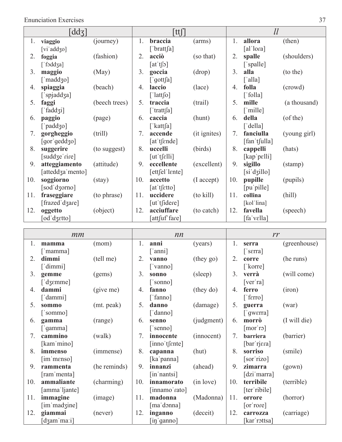Enunciation Exercises 37

| $\text{dd}$ <sub>3</sub> |                          |                 | tt[] |                                     |                      | ll  |                   |              |
|--------------------------|--------------------------|-----------------|------|-------------------------------------|----------------------|-----|-------------------|--------------|
| 1.                       | viaggio                  | (journey)       | 1.   | braccia                             | (arms)               | 1.  | allora            | (then)       |
|                          | [vi'add $\zeta$ o]       |                 |      | $\lceil$ 'bratt $\lceil a \rceil$   |                      |     | [al'lora]         |              |
| 2.                       | foggia                   | (fashion)       | 2.   | acciò                               | (so that)            | 2.  | spalle            | (shoulders)  |
|                          | [ fəddʒa]                |                 |      | $\lceil \text{at}' \text{t} \rceil$ |                      |     | ['spalle]         |              |
| 3.                       | maggio                   | (May)           | 3.   | goccia                              | (drop)               | 3.  | alla              | (to the)     |
|                          | [ˈmaddʒo]                |                 |      | $\lceil$ 'gott $\lceil$ a]          |                      |     | [ˈalla]           |              |
| 4.                       | spiaggia                 | (beach)         | 4.   | laccio                              | (lace)               | 4.  | folla             | (crowd)      |
|                          | ['spjaddʒa]              |                 |      | $\lceil$ 'latt $\lceil o \rceil$    |                      |     | ['folla]          |              |
| 5.                       | faggi                    | (beech trees)   | 5.   | traccia                             | (trail)              | 5.  | mille             | (a thousand) |
|                          | ['fadd $\overline{3}$ i] |                 |      | ['tratt $[a]$                       |                      |     | ['mille]          |              |
| 6.                       | paggio                   | (page)          | 6.   | caccia                              | (hunt)               | 6.  | della             | $($ of the)  |
|                          | ['paddʒo]                |                 |      | [' $k$ att $fa$ ]                   |                      |     | ['della]          |              |
| 7.                       | gorgheggio               | (trill)         | 7.   | accende                             | (it ignites)         | 7.  | fanciulla         | (young girl) |
|                          | [gor'geddʒo]             |                 |      | $[$ at 't $[$ $]$ $[$               |                      |     | [fan'tʃulla]      |              |
| 8.                       | suggerire                | (to suggest)    | 8.   | uccelli                             | (birds)              | 8.  | cappelli          | (hats)       |
|                          | [suddʒeˈrire]            |                 |      | $[$ ut 't $[$ $\epsilon$ lli $]$    |                      |     | $[kap $ pelli $]$ |              |
| 9.                       | atteggiamento            | (attitude)      | 9.   | eccellente                          | (excellent)          | 9.  | sigillo           | (stamp)      |
|                          | [atteddʒa 'mento]        |                 |      | $[$ ett $[$ el' $]$ ente $]$        |                      |     | [siˈdʒillo]       |              |
| 10.                      | soggiorno                | $(\text{stay})$ | 10.  | accetto                             | $(I \text{ accept})$ | 10. | pupille           | (pupils)     |
|                          | [sod'dʒorno]             |                 |      | [at' t[etto]                        |                      |     | [pu pille]        |              |
| 11.                      | fraseggiare              | (to phrase)     | 11.  | uccidere                            | $(to$ kill $)$       | 11. | collina           | (hill)       |
|                          | [frazed dzare]           |                 |      | $[$ ut 't $[$ idere]                |                      |     | [kol lina]        |              |
| 12.                      | oggetto                  | (object)        | 12.  | acciuffare                          | (to catch)           | 12. | favella           | (speech)     |
|                          | [od'dʒɛtto]              |                 |      | attfuf fare]                        |                      |     | [faˈvɛlla]        |              |

| mm  |                                       |              | nn  |                              |                | rr  |                             |              |
|-----|---------------------------------------|--------------|-----|------------------------------|----------------|-----|-----------------------------|--------------|
| 1.  | mamma                                 | (mom)        | 1.  | anni                         | (years)        | 1.  | serra                       | (greenhouse) |
|     | ['mamma]                              |              |     | [ˈanni]                      |                |     | $\lceil$ 's $\epsilon$ rra] |              |
| 2.  | dimmi                                 | (tell me)    | 2.  | vanno                        | $^{(they go)}$ | 2.  | corre                       | (he runs)    |
|     | ['dimmi]                              |              |     | ['vanno]                     |                |     | ['korre]                    |              |
| 3.  | gemme                                 | (gems)       | 3.  | sonno                        | (sleep)        | 3.  | verrà                       | (will come)  |
|     | $\lceil$ dzemme]                      |              |     | ['sonno]                     |                |     | [ver'ra]                    |              |
| 4.  | dammi                                 | (give me)    | 4.  | fanno                        | (they do)      | 4.  | ferro                       | (iron)       |
|     | $\lceil$ 'dammi]                      |              |     | ['fanno]                     |                |     | ['ferro]                    |              |
| 5.  | sommo                                 | (mt. peak)   | 5.  | danno                        | (damage)       | 5.  | guerra                      | (war)        |
|     | ['sommo]                              |              |     | ['danno]                     |                |     | $\lceil$ gwerra]            |              |
| 6.  | gamma                                 | (range)      | 6.  | senno                        | (judgment)     | 6.  | morrò                       | (I will die) |
|     | $\lceil$ 'gamma]                      |              |     | ['senno]                     |                |     | [mor'ro]                    |              |
| 7.  | cammino                               | (walk)       | 7.  | innocente                    | (innocent)     | 7.  | barriera                    | (barrier)    |
|     | [kam'mino]                            |              |     | $[$ inno't $[$ $]$ $[$       |                |     | [bar rjera]                 |              |
| 8.  | immenso                               | (immense)    | 8.  | capanna                      | (hut)          | 8.  | sorriso                     | (smile)      |
|     | $\left[\text{im}'\text{menso}\right]$ |              |     | [ka'panna]                   |                |     | [sor rizo]                  |              |
| 9.  | rammenta                              | (he reminds) | 9.  | innanzi                      | (ahead)        | 9.  | zimarra                     | (gown)       |
|     | [ram 'menta]                          |              |     | $\left[$ in'nantsi $\right]$ |                |     | [dzi marra]                 |              |
| 10. | ammaliante                            | (charming)   | 10. | innamorato                   | (in love)      | 10. | terribile                   | (terrible)   |
|     | [amma ljante]                         |              |     | [innamo'rato]                |                |     | [ter ribile]                |              |
| 11. | immagine                              | (image)      | 11. | madonna                      | (Madonna)      | 11. | orrore                      | (horror)     |
|     | [im madzine]                          |              |     | [ma'donna]                   |                |     | [or'rore]                   |              |
| 12. | giammai                               | (never)      | 12. | inganno                      | (deceit)       | 12. | carrozza                    | (carriage)   |
|     | [dʒamˈmaːi]                           |              |     | [inˈganno]                   |                |     | [karˈrɔttsa]                |              |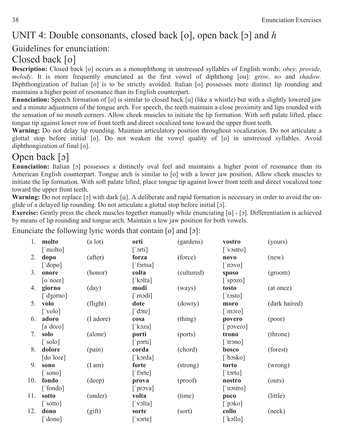### UNIT 4: Double consonants, closed back [o], open back [o] and *h*

#### Guidelines for enunciation:

### Closed back [o]

**Description:** Closed back [o] occurs as a monophthong in unstressed syllables of English words: *obey, provide, melody*. It is more frequently enunciated as the first vowel of diphthong [ou]: *grow, no* and *shadow.*  Diphthongization of Italian [o] is to be strictly avoided. Italian [o] possesses more distinct lip rounding and maintains a higher point of resonance than its English counterpart.

**Enunciation:** Speech formation of [o] is similar to closed back [u] (like a whistle) but with a slightly lowered jaw and a minute adjustment of the tongue arch. For speech, the teeth maintain a close proximity and lips rounded with the sensation of no mouth corners. Allow cheek muscles to initiate the lip formation. With soft palate lifted, place tongue tip against lower row of front teeth and direct vocalized tone toward the upper front teeth.

**Warning:** Do not delay lip rounding. Maintain articulatory position throughout vocalization. Do not articulate a glottal stop before initial [o]. Do not weaken the vowel quality of [o] in unstressed syllables. Avoid diphthongization of final [o].

### Open back  $\lceil 5 \rceil$

**Enunciation:** Italian [o] possesses a distinctly oval feel and maintains a higher point of resonance than its American English counterpart. Tongue arch is similar to [o] with a lower jaw position. Allow cheek muscles to initiate the lip formation. With soft palate lifted, place tongue tip against lower front teeth and direct vocalized tone toward the upper front teeth.

**Warning:** Do not replace [o] with dark [a]. A deliberate and rapid formation is necessary in order to avoid the onglide of a delayed lip rounding. Do not articulate a glottal stop before initial [o].

**Exercise:** Gently press the cheek muscles together manually while enunciating [a] - [b]. Differentiation is achieved by means of lip rounding and tongue arch. Maintain a low jaw position for both vowels.

Enunciate the following lyric words that contain  $\lceil o \rceil$  and  $\lceil o \rceil$ :

| 1.  | molto            | (a lot)          | orti                              | (gardens)  | vostro                      | (yours)       |
|-----|------------------|------------------|-----------------------------------|------------|-----------------------------|---------------|
|     | ['molto]         |                  | $\lceil$ ' $\sigma$ rti]          |            | ['vostro]                   |               |
| 2.  | dopo             | (after)          | forza                             | (force)    | novo                        | (new)         |
|     | $[\text{'dopo}]$ |                  | $\lceil$ 'fortsa]                 |            | $\lceil$ 'novo]             |               |
| 3.  | onore            | (honor)          | colta                             | (cultured) | sposo                       | (groom)       |
|     | $[o'$ nore $]$   |                  | ['kolta]                          |            | $[$ 'spozo]                 |               |
| 4.  | giorno           | $\text{(day)}$   | modi                              | (ways)     | tosto                       | (at once)     |
|     | ['dʒorno]        |                  | $\lceil \text{mod} \rceil$        |            | $\lceil$ 'tosto]            |               |
| 5.  | volo             | (flight)         | dote                              | (dowry)    | moro                        | (dark haired) |
|     | ['volo]          |                  | $\lceil \cdot \text{dote} \rceil$ |            | $\lceil \text{mono} \rceil$ |               |
| 6.  | adoro            | (I adore)        | cosa                              | (thing)    | povero                      | (poor)        |
|     | [a'doro]         |                  | [ $koza$ ]                        |            | $[$ povero]                 |               |
| 7.  | solo             | (alone)          | porti                             | (ports)    | trono                       | (throne)      |
|     | $\lceil$ 'solo]  |                  | $[\n]$ porti]                     |            | ['trono]                    |               |
| 8.  | dolore           | (pain)           | corda                             | (chord)    | bosco                       | (forest)      |
|     | [do'lore]        |                  | [ˈkɔrda]                          |            | [' $b$ osko]                |               |
| 9.  | sono             | $(I \text{ am})$ | forte                             | (strong)   | torto                       | (wrong)       |
|     | ['sono]          |                  | $\lceil$ forte]                   |            | $\lceil$ 'torto]            |               |
| 10. | fondo            | (deep)           | prova                             | (proof)    | nostro                      | (ours)        |
|     | ['fondo]         |                  | $[\n]$ prova]                     |            | $\lceil$ 'nostro]           |               |
| 11. | sotto            | (under)          | volta                             | (time)     | poco                        | (little)      |
|     | ['sotto]         |                  | $\lceil$ 'volta]                  |            | [ $'poko$ ]                 |               |
| 12. | dono             | (gift)           | sorte                             | (sort)     | collo                       | (neck)        |
|     | ['dono]          |                  | $\lceil$ 'sorte $\rceil$          |            | $\lceil$ 'kəllo]            |               |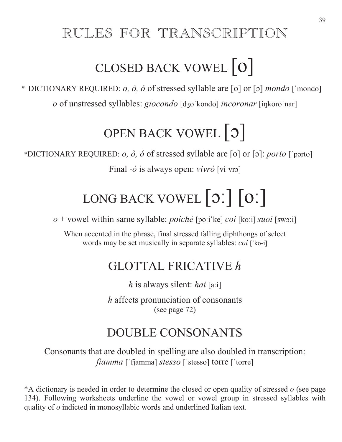### RULES FOR TRANSCRIPTION

# CLOSED BACK VOWEL [o]

\* DICTIONARY REQUIRED: *o*, *ò*, *ó* of stressed syllable are [o] or [o] *mondo* ['mondo] *o* of unstressed syllables: *giocondo* [dʒo kondo] *incoronar* [inkoro nar]

# OPEN BACK VOWEL  $\vert 0 \vert$

\*DICTIONARY REQUIRED: *o,*  $\dot{o}$ *,*  $\dot{o}$  of stressed syllable are [o] or [o]: *porto* ['porto] Final  $-\dot{o}$  is always open: *vivrò* [vi'vro]

# LONG BACK VOWEL  $\lceil 0 \rceil \lceil 0 \rceil$

*o* + vowel within same syllable: *poiché* [poːiˈke] *coi* [koːi] *suoi* [swoːi]

When accented in the phrase, final stressed falling diphthongs of select words may be set musically in separate syllables: *coi* ['ko-i]

### GLOTTAL FRICATIVE *h*

*h* is always silent: *hai* [aːi]

*h* affects pronunciation of consonants (see page 72)

## DOUBLE CONSONANTS

Consonants that are doubled in spelling are also doubled in transcription: *fiamma* ['fjamma] *stesso* ['stesso] torre ['torre]

\*A dictionary is needed in order to determine the closed or open quality of stressed *o* (see page 134). Following worksheets underline the vowel or vowel group in stressed syllables with quality of *o* indicted in monosyllabic words and underlined Italian text.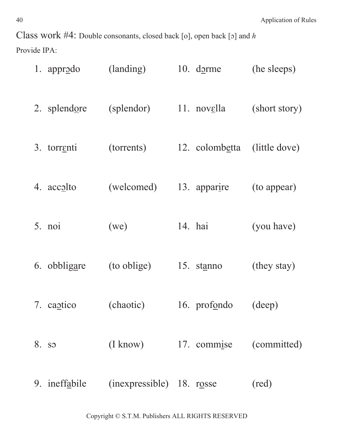Class work #4: Double consonants, closed back [o], open back [o] and *h* Provide IPA:

| 1. appr <u>odo</u> | (landing)                 | $10.$ dorme    | (he sleeps)   |
|--------------------|---------------------------|----------------|---------------|
| 2. splendore       | (splendor)                | 11. novella    | (short story) |
| 3. torrenti        | (torrents)                | 12. colombetta | (little dove) |
| 4. accolto         | (welcomed)                | 13. apparire   | (to appear)   |
| 5. noi             | (we)                      | 14. hai        | (you have)    |
| 6. obbligare       | (to oblige)               | 15. stanno     | (they stay)   |
| 7. captico         | (chaotic)                 | 16. profondo   | (deep)        |
| 8. so              | $(I \text{ know})$        | 17. commise    | (committed)   |
| 9. ineffabile      | (inexpressible) 18. rosse |                | (red)         |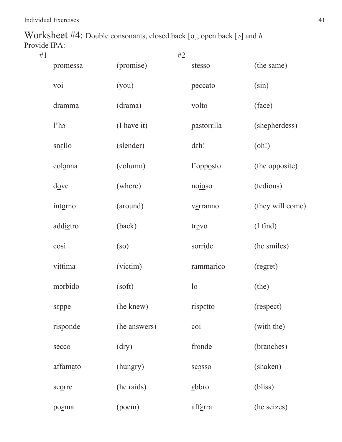Worksheet #4: Double consonants, closed back [o], open back [o] and *h* Provide IPA:

| #1 |                               | #2                    |                            |                    |
|----|-------------------------------|-----------------------|----------------------------|--------------------|
|    | promessa                      | (promise)             | stesso                     | (the same)         |
|    | voi                           | (you)                 | peccato                    | (sin)              |
|    | dramma                        | (drama)               | volto                      | (face)             |
|    | 1 <sup>th</sup>               | (I have it)           | pastorella                 | (shepherdess)      |
|    | snello                        | (slender)             | deh!                       | (oh!)              |
|    | colonna                       | (column)              | l'opposto                  | (the opposite)     |
|    | $\frac{d\text{O}}{d\text{O}}$ | (where)               | no <u>io</u> so            | (tedious)          |
|    | intorno                       | (around)              | verranno                   | (they will come)   |
|    | addietro                      | (back)                | trovo                      | $(I \text{ find})$ |
|    | $\cos i$                      | $\left($ so $\right)$ | sorride                    | (he smiles)        |
|    | vittima                       | (victim)              | rammarico                  | (regret)           |
|    | morbido                       | (soft)                | 1 <sub>o</sub>             | (the)              |
|    | ssppe                         | (he knew)             | rispetto                   | (respect)          |
|    | risponde                      | (he answers)          | $\overline{coi}$           | (with the)         |
|    | secco                         | $\rm (dry)$           | fronde                     | (branches)         |
|    | affamato                      | (hungry)              | scosso                     | (shaken)           |
|    | scorre                        | (he raids)            | $\underline{\text{ebbro}}$ | (bliss)            |
|    | pogma                         | (poem)                | afferra                    | (he seizes)        |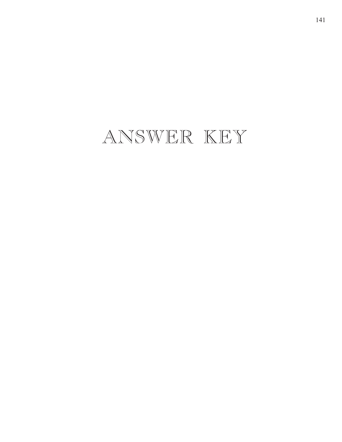## ANSWER KEY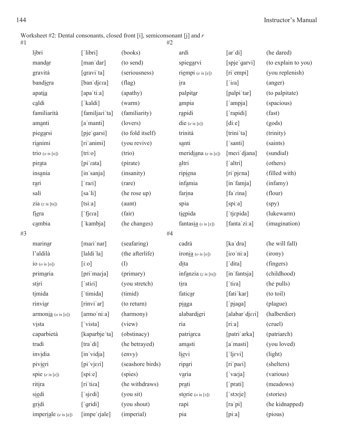Worksheet #2: Dental consonants, closed front [i], semiconsonant [j] and *r*

| #1 |                                                           |                             | #2               |                                 |                  |                     |
|----|-----------------------------------------------------------|-----------------------------|------------------|---------------------------------|------------------|---------------------|
|    | libri                                                     | [ 'libri ]                  | (books)          | ardì                            | [ar'di]          | (he dared)          |
|    | mandar                                                    | [man dar]                   | (to send)        | spiegarvi                       | [spje garvi]     | (to explain to you) |
|    | gravità                                                   | [gravi ta]                  | (seriousness)    | riempi $(e \text{ is } [e])$    | [ri empi]        | (you replenish)     |
|    | bandiera                                                  | [ban djera]                 | $(\text{flag})$  | $\frac{1}{2}$                   | $[$ ira]         | (anger)             |
|    | apatia                                                    | [apa'ti:a]                  | (apathy)         | palpitar                        | [palpi tar]      | (to palpitate)      |
|    | caldi                                                     | [ˈkaldi]                    | (warm)           | ampia                           | ['ampja]         | (spacious)          |
|    | familiarità                                               | [familjari ta]              | (familiarity)    | rapidi                          | [ rapidi]        | (fast)              |
|    | amanti                                                    | [a manti]                   | (lovers)         | die $(e \text{ is } [e])$       | [di.e]           | (gods)              |
|    | piegarsi                                                  | [pje garsi]                 | (to fold itself) | trinità                         | [trini ta]       | (trinity)           |
|    | rianimi                                                   | [ri animi]                  | (you revive)     | santi                           | $\lceil$ 'santi] | (saints)            |
|    | trio $(o \text{ is } [o])$                                | [tri:o]                     | (trio)           | meridiana $(e \text{ is } [e])$ | [meri djana]     | (sundial)           |
|    | pirata                                                    | [pi'rata]                   | (pirate)         | altri                           | $\lceil$ altri]  | (others)            |
|    | insania                                                   | [in sanja]                  | (insanity)       | ripiena                         | [ri pjena]       | (filled with)       |
|    | rari                                                      | $[$ rari]                   | (rare)           | infamia                         | [in famja]       | (infamy)            |
|    | salì                                                      | [sa'1i]                     | (he rose up)     | farina                          | [fa'rina]        | (flour)             |
|    | zia $(z \text{ is [ts]})$                                 | [tsi:a]                     | (aunt)           | spia                            | [spi:a]          | (spy)               |
|    | fiera                                                     | $[$ fj $\epsilon$ ra]       | (fair)           | tiepida                         | [ tjɛpida]       | (lukewarm)          |
|    | cambia                                                    | [ˈkambja]                   | (he changes)     | fantasia $(s \text{ is } [z])$  | [fanta zi:a]     | (imagination)       |
| #3 |                                                           |                             | #4               |                                 |                  |                     |
|    | marinar                                                   | [mari nar]                  | (seafaring)      | cadrà                           | [ka dra]         | (he will fall)      |
|    | l'aldilà                                                  | $\left[$ laldi'la $\right]$ | (the afterlife)  | ironia $(o \text{ is } [o])$    | [iro'ni:a]       | (irony)             |
|    | $io$ ( $o$ is [o])                                        | [i:0]                       | (I)              | dita                            | $\lceil$ 'dita]  | (fingers)           |
|    | primaria                                                  | [pri marja]                 | (primary)        | infanzia $(z$ is $[ts])$        | [in fantsja]     | (childhood)         |
|    | stiri                                                     | ['stiri]                    | (you stretch)    | tira                            | $[$ tira]        | (he pulls)          |
|    | timida                                                    | ['timida]                   | (timid)          | faticar                         | [fati'kar]       | (to toil)           |
|    | rinviar                                                   | [rinvi'ar]                  | (to return)      | piaga                           | ['pjaga]         | (plague)            |
|    | $\text{armoni}$ $\underline{\text{a}}$ ( <i>o</i> is [o]) | [armo'niːa]                 | (harmony)        | alabardieri                     | [alabar djeri]   | (halberdier)        |
|    | vista                                                     | [ vista]                    | (view)           | ria                             | [ri:a]           | (cruel)             |
|    | caparbietà                                                | [kaparbje ta]               | (obstinacy)      | patriarca                       | [patri arka]     | (patriarch)         |
|    | tradì                                                     | [tra di]                    | (he betrayed)    | amasti                          | [a masti]        | (you loved)         |
|    | invidia                                                   | [in'vidja]                  | (envy)           | lievi                           | $[$ ljevi]       | (light)             |
|    | pivieri                                                   | [pi vjeri]                  | (seashore birds) | ripari                          | [ri pari]        | (shelters)          |
|    | spie $(e \text{ is } [e])$                                | [spi.e]                     | (spies)          | varia                           | [varja]          | (various)           |
|    | ritira                                                    | [ri tira]                   | (he withdraws)   | prati                           | ['prati]         | (meadows)           |
|    | siedi                                                     | ['sjɛdi]                    | (you sit)        | storie $(o \text{ is } [5])$    | ['storje]        | (stories)           |
|    | gridi                                                     | $[$ gridi]                  | (you shout)      | rapi                            | [ra'pi]          | (he kidnapped)      |
|    | imperiale $(e \text{ is } [e])$                           | [impe' rjale]               | (imperial)       | pia                             | [pi:a]           | (pious)             |
|    |                                                           |                             |                  |                                 |                  |                     |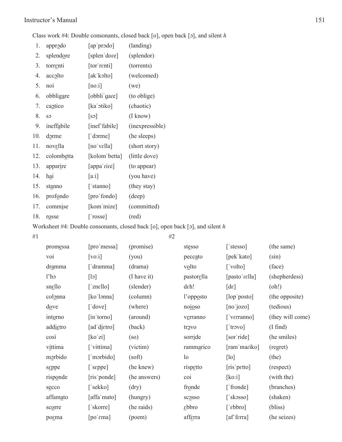#### Instructor's Manual 151

Class work #4: Double consonants, closed back [o], open back [o], and silent *h* 

| 1.  | approdo                                                                                                                                                                                                                                            | [ap prodo]                    | (landing)          |
|-----|----------------------------------------------------------------------------------------------------------------------------------------------------------------------------------------------------------------------------------------------------|-------------------------------|--------------------|
| 2.  | splendore                                                                                                                                                                                                                                          | [splen dore]                  | (splendor)         |
| 3.  | torrenti                                                                                                                                                                                                                                           | [tor renti]                   | (torrents)         |
| 4.  | $acc_0$ and $ac_0$ and $ac_0$ and $ac_0$ and $ac_0$ and $ac_0$ and $ac_0$ and $ac_0$ and $ac_0$ and $ac_0$ and $ac_0$ and $ac_0$ and $ac_0$ and $ac_0$ and $ac_0$ and $ac_0$ and $ac_0$ and $ac_0$ and $ac_0$ and $ac_0$ and $ac_0$ and $ac_0$ and | [akˈkɔlto]                    | (welcomed)         |
| 5.  | noi                                                                                                                                                                                                                                                | [no:i]                        | (we)               |
| 6.  | obbligare                                                                                                                                                                                                                                          | [obbli gare]                  | (to oblige)        |
| 7.  | cantico                                                                                                                                                                                                                                            | [kaˈɔtiko]                    | (chaotic)          |
| 8.  | S <sub>2</sub>                                                                                                                                                                                                                                     | $\lceil$ sə $\rceil$          | $(I \text{ know})$ |
| 9.  | ineffabile                                                                                                                                                                                                                                         | [inef fabile]                 | (inexpressible)    |
| 10. | dorme                                                                                                                                                                                                                                              | ['dorme]                      | (he sleeps)        |
| 11. | nov <u>ella</u>                                                                                                                                                                                                                                    | $[no'$ vella $]$              | (short story)      |
| 12. | colombetta                                                                                                                                                                                                                                         | [kolom betta]                 | (little dove)      |
| 13. | apparire                                                                                                                                                                                                                                           | [appa'rire]                   | (to appear)        |
| 14. | hai                                                                                                                                                                                                                                                | [a:i]                         | (you have)         |
| 15. | stanno                                                                                                                                                                                                                                             | ['stanno]                     | (they stay)        |
| 16. | profondo                                                                                                                                                                                                                                           | [pro'fondo]                   | (deep)             |
| 17. | commise                                                                                                                                                                                                                                            | [kom mize]                    | (committed)        |
| 18. | rosse                                                                                                                                                                                                                                              | $\lceil \text{'rosse} \rceil$ | (red)              |

Worksheet #4: Double consonants, closed back [o], open back [o], and silent *h* 

 $#1$   $#2$ 

| promessa                          | [pro'messa]                 | (promise)    | stesso         | $\lceil$ 'stesso] | (the same)         |
|-----------------------------------|-----------------------------|--------------|----------------|-------------------|--------------------|
| voi                               | [vo:i]                      | (you)        | peccato        | [pek kato]        | $(\sin)$           |
| dramma                            | ['dramma]                   | (drama)      | volto          | ['volto]          | (face)             |
| 1 <sup>th</sup>                   | [15]                        | (I have it)  | pastorslla     | [pasto rella]     | (shepherdess)      |
| snello                            | $\lceil$ znello]            | (slender)    | deh!           | $[d\varepsilon]$  | (oh!)              |
| colonna                           | [ko'lonna]                  | (column)     | l'opposto      | [lop'posto]       | (the opposite)     |
| $\frac{\mathrm{do}}{\mathrm{ve}}$ | $\lceil \text{love} \rceil$ | (where)      | noioso         | [no'jozo]         | (tedious)          |
| intorno                           | [in torno]                  | (around)     | verranno       | ['verranno]       | (they will come)   |
| addietro                          | [ad djetro]                 | (back)       | trovo          | [ 'trowo ]        | $(I \text{ find})$ |
| così                              | [ko'zi]                     | (so)         | sorride        | [sor ride]        | (he smiles)        |
| vittima                           | ['vittima]                  | (victim)     | rammarico      | [ram 'mariko]     | (regret)           |
| morbido                           | ['morbido]                  | (soft)       | 1 <sub>o</sub> | [10]              | (the)              |
| sgppe                             | ['seppe]                    | (he knew)    | rispetto       | [ris petto]       | (respect)          |
| risponde                          | [ris ponde]                 | (he answers) | coi            | [ko:i]            | (with the)         |
| secco                             | ['sekko]                    | (dry)        | fronde         | ['fronde]         | (branches)         |
| affamato                          | [affa mato]                 | (hungry)     | scosso         | [ $skosso$ ]      | (shaken)           |
| scorre                            | ['skorre]                   | (he raids)   | $ebbro$        | $\lceil$ ebbro]   | (bliss)            |
| pogma                             | $[po$$ $\epsilon$ ma]       | (poem)       | afferra        | [af' ferra]       | (he seizes)        |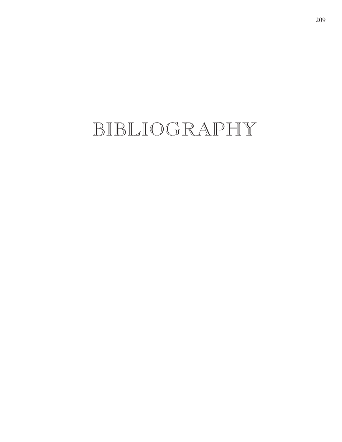## BIBLIOGRAPHY